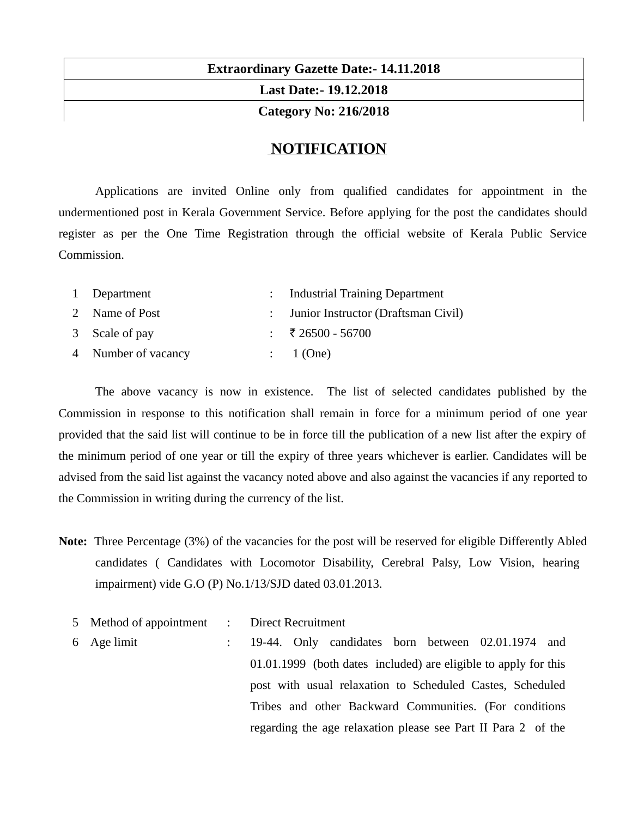# **Extraordinary Gazette Date:- 14.11.2018 Last Date:- 19.12.2018 Category No: 216/2018**

## **NOTIFICATION**

Applications are invited Online only from qualified candidates for appointment in the undermentioned post in Kerala Government Service. Before applying for the post the candidates should register as per the One Time Registration through the official website of Kerala Public Service Commission.

| 1 Department        | : Industrial Training Department      |
|---------------------|---------------------------------------|
| 2 Name of Post      | : Junior Instructor (Draftsman Civil) |
| 3 Scale of pay      | : ₹26500 - 56700                      |
| 4 Number of vacancy | : 1(One)                              |

The above vacancy is now in existence. The list of selected candidates published by the Commission in response to this notification shall remain in force for a minimum period of one year provided that the said list will continue to be in force till the publication of a new list after the expiry of the minimum period of one year or till the expiry of three years whichever is earlier. Candidates will be advised from the said list against the vacancy noted above and also against the vacancies if any reported to the Commission in writing during the currency of the list.

- **Note:** Three Percentage (3%) of the vacancies for the post will be reserved for eligible Differently Abled candidates ( Candidates with Locomotor Disability, Cerebral Palsy, Low Vision, hearing impairment) vide G.O (P) No.1/13/SJD dated 03.01.2013.
	- 5 Method of appointment : Direct Recruitment
	- 6 Age limit : 19-44. Only candidates born between 02.01.1974 and 01.01.1999 (both dates included) are eligible to apply for this post with usual relaxation to Scheduled Castes, Scheduled Tribes and other Backward Communities. (For conditions regarding the age relaxation please see Part II Para 2 of the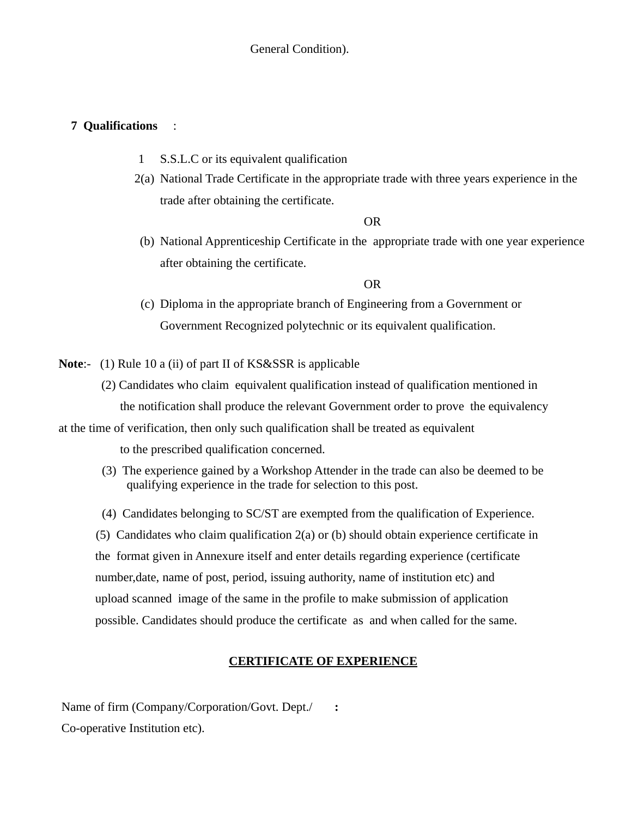## **7 Qualifications** :

- 1 S.S.L.C or its equivalent qualification
- 2(a) National Trade Certificate in the appropriate trade with three years experience in the trade after obtaining the certificate.

OR

(b) National Apprenticeship Certificate in the appropriate trade with one year experience after obtaining the certificate.

OR

(c) Diploma in the appropriate branch of Engineering from a Government or Government Recognized polytechnic or its equivalent qualification.

**Note**:- (1) Rule 10 a (ii) of part II of KS&SSR is applicable

 (2) Candidates who claim equivalent qualification instead of qualification mentioned in the notification shall produce the relevant Government order to prove the equivalency

at the time of verification, then only such qualification shall be treated as equivalent

to the prescribed qualification concerned.

- (3) The experience gained by a Workshop Attender in the trade can also be deemed to be qualifying experience in the trade for selection to this post.
- (4) Candidates belonging to SC/ST are exempted from the qualification of Experience.

 (5) Candidates who claim qualification 2(a) or (b) should obtain experience certificate in the format given in Annexure itself and enter details regarding experience (certificate number,date, name of post, period, issuing authority, name of institution etc) and upload scanned image of the same in the profile to make submission of application possible. Candidates should produce the certificate as and when called for the same.

## **CERTIFICATE OF EXPERIENCE**

Name of firm (Company/Corporation/Govt. Dept./ Co-operative Institution etc). **:**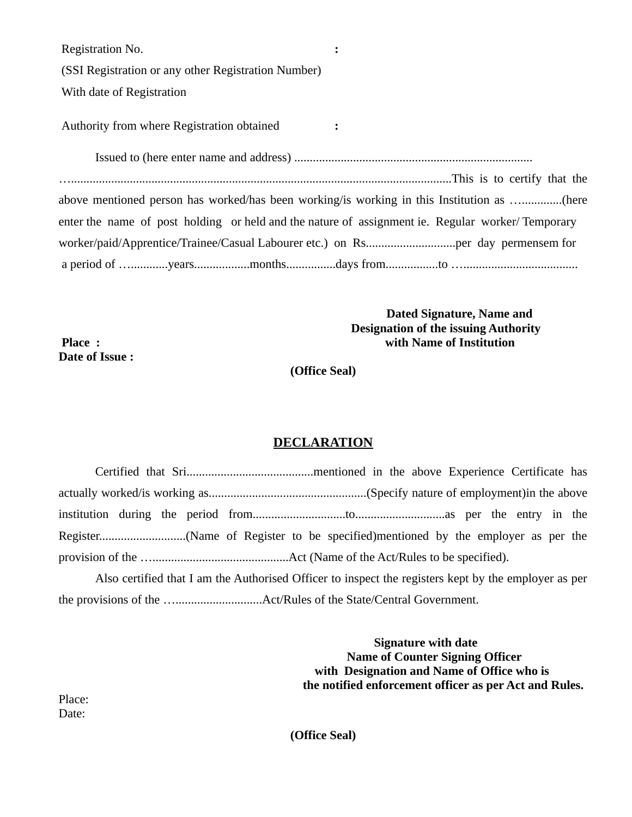| Registration No.                                    |                             |
|-----------------------------------------------------|-----------------------------|
| (SSI Registration or any other Registration Number) |                             |
| With date of Registration                           |                             |
| Authority from where Registration obtained          |                             |
|                                                     |                             |
|                                                     | This is to certify that the |

| above mentioned person has worked/has been working/is working in this Institution as (here       |  |  |  |  |
|--------------------------------------------------------------------------------------------------|--|--|--|--|
| enter the name of post holding or held and the nature of assignment ie. Regular worker/Temporary |  |  |  |  |
|                                                                                                  |  |  |  |  |
|                                                                                                  |  |  |  |  |

## **Dated Signature, Name and Designation of the issuing Authority Place : with Name of Institution**

**(Office Seal)**

## **DECLARATION**

|  | Also certified that I am the Authorised Officer to inspect the registers kept by the employer as per |  |  |  |
|--|------------------------------------------------------------------------------------------------------|--|--|--|

the provisions of the …............................Act/Rules of the State/Central Government.

 **Signature with date Name of Counter Signing Officer with Designation and Name of Office who is the notified enforcement officer as per Act and Rules.**

Place: Date:

**Date of Issue :**

**(Office Seal)**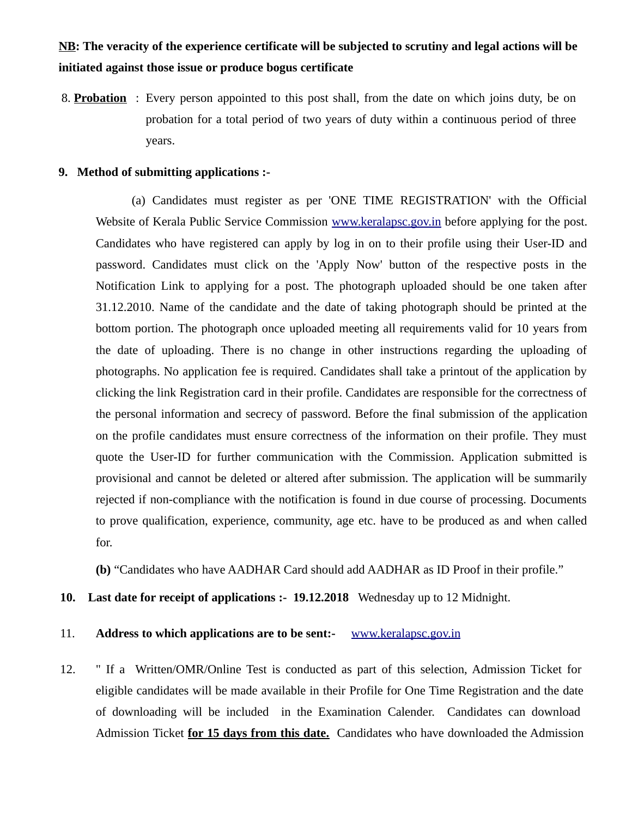## **NB: The veracity of the experience certificate will be subjected to scrutiny and legal actions will be initiated against those issue or produce bogus certificate**

8. **Probation** : Every person appointed to this post shall, from the date on which joins duty, be on probation for a total period of two years of duty within a continuous period of three years.

#### **9. Method of submitting applications :-**

(a) Candidates must register as per 'ONE TIME REGISTRATION' with the Official Website of Kerala Public Service Commission [www.keralapsc.gov.in](http://www.kerealapsc.gov.in/) before applying for the post. Candidates who have registered can apply by log in on to their profile using their User-ID and password. Candidates must click on the 'Apply Now' button of the respective posts in the Notification Link to applying for a post. The photograph uploaded should be one taken after 31.12.2010. Name of the candidate and the date of taking photograph should be printed at the bottom portion. The photograph once uploaded meeting all requirements valid for 10 years from the date of uploading. There is no change in other instructions regarding the uploading of photographs. No application fee is required. Candidates shall take a printout of the application by clicking the link Registration card in their profile. Candidates are responsible for the correctness of the personal information and secrecy of password. Before the final submission of the application on the profile candidates must ensure correctness of the information on their profile. They must quote the User-ID for further communication with the Commission. Application submitted is provisional and cannot be deleted or altered after submission. The application will be summarily rejected if non-compliance with the notification is found in due course of processing. Documents to prove qualification, experience, community, age etc. have to be produced as and when called for.

**(b)** "Candidates who have AADHAR Card should add AADHAR as ID Proof in their profile."

**10. Last date for receipt of applications :- 19.12.2018** Wednesday up to 12 Midnight.

#### 11. **Address to which applications are to be sent:-** [www.keralapsc.gov.in](http://www.keralapsc.gov.in/)

12. " If a Written/OMR/Online Test is conducted as part of this selection, Admission Ticket for eligible candidates will be made available in their Profile for One Time Registration and the date of downloading will be included in the Examination Calender. Candidates can download Admission Ticket **for 15 days from this date.** Candidates who have downloaded the Admission